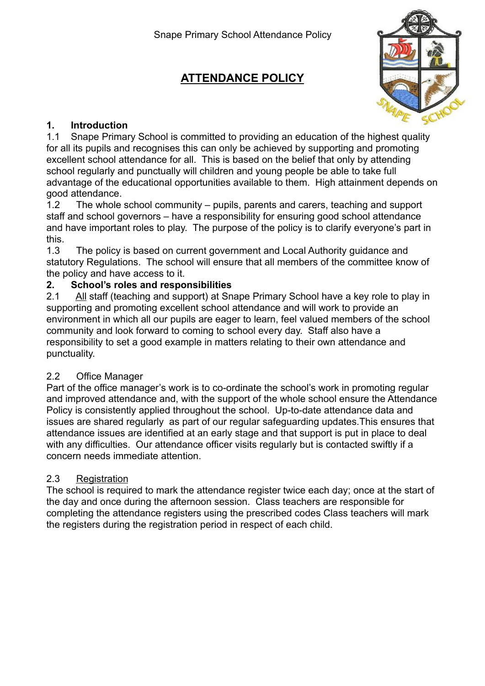# **ATTENDANCE POLICY**



# **1. Introduction**

1.1 Snape Primary School is committed to providing an education of the highest quality for all its pupils and recognises this can only be achieved by supporting and promoting excellent school attendance for all. This is based on the belief that only by attending school regularly and punctually will children and young people be able to take full advantage of the educational opportunities available to them. High attainment depends on good attendance.

1.2 The whole school community – pupils, parents and carers, teaching and support staff and school governors – have a responsibility for ensuring good school attendance and have important roles to play. The purpose of the policy is to clarify everyone's part in this.

1.3 The policy is based on current government and Local Authority guidance and statutory Regulations. The school will ensure that all members of the committee know of the policy and have access to it.

# **2. School's roles and responsibilities**

2.1 All staff (teaching and support) at Snape Primary School have a key role to play in supporting and promoting excellent school attendance and will work to provide an environment in which all our pupils are eager to learn, feel valued members of the school community and look forward to coming to school every day. Staff also have a responsibility to set a good example in matters relating to their own attendance and punctuality.

# 2.2 Office Manager

Part of the office manager's work is to co-ordinate the school's work in promoting regular and improved attendance and, with the support of the whole school ensure the Attendance Policy is consistently applied throughout the school. Up-to-date attendance data and issues are shared regularly as part of our regular safeguarding updates.This ensures that attendance issues are identified at an early stage and that support is put in place to deal with any difficulties. Our attendance officer visits regularly but is contacted swiftly if a concern needs immediate attention.

# 2.3 Registration

The school is required to mark the attendance register twice each day; once at the start of the day and once during the afternoon session. Class teachers are responsible for completing the attendance registers using the prescribed codes Class teachers will mark the registers during the registration period in respect of each child.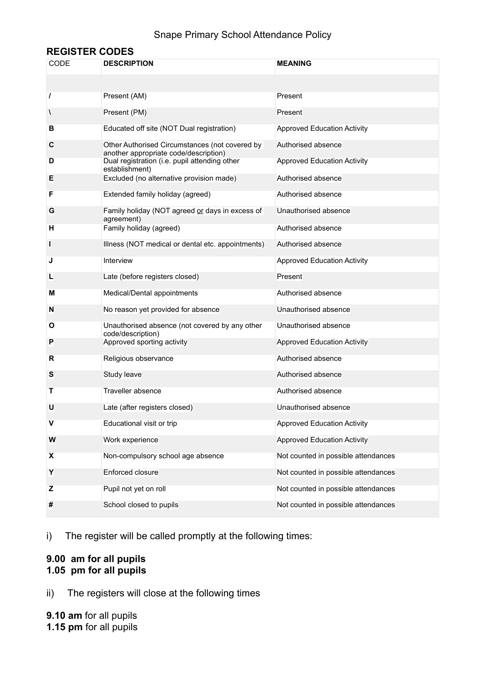### Snape Primary School Attendance Policy

### **REGISTER CODES**

| CODE     | <b>DESCRIPTION</b>                                                                      | <b>MEANING</b>                      |
|----------|-----------------------------------------------------------------------------------------|-------------------------------------|
|          |                                                                                         |                                     |
| $\prime$ | Present (AM)                                                                            | Present                             |
| V        | Present (PM)                                                                            | Present                             |
| в        | Educated off site (NOT Dual registration)                                               | <b>Approved Education Activity</b>  |
| C        | Other Authorised Circumstances (not covered by<br>another appropriate code/description) | Authorised absence                  |
| D        | Dual registration (i.e. pupil attending other<br>establishment)                         | <b>Approved Education Activity</b>  |
| Е        | Excluded (no alternative provision made)                                                | Authorised absence                  |
| F        | Extended family holiday (agreed)                                                        | Authorised absence                  |
| G        | Family holiday (NOT agreed or days in excess of<br>agreement)                           | Unauthorised absence                |
| н        | Family holiday (agreed)                                                                 | Authorised absence                  |
| L        | Illness (NOT medical or dental etc. appointments)                                       | Authorised absence                  |
| J        | Interview                                                                               | <b>Approved Education Activity</b>  |
| L        | Late (before registers closed)                                                          | Present                             |
| м        | Medical/Dental appointments                                                             | Authorised absence                  |
| N        | No reason yet provided for absence                                                      | Unauthorised absence                |
| O        | Unauthorised absence (not covered by any other<br>code/description)                     | Unauthorised absence                |
| P        | Approved sporting activity                                                              | <b>Approved Education Activity</b>  |
| R        | Religious observance                                                                    | Authorised absence                  |
| S        | Study leave                                                                             | Authorised absence                  |
| Τ        | Traveller absence                                                                       | Authorised absence                  |
| U        | Late (after registers closed)                                                           | Unauthorised absence                |
| v        | Educational visit or trip                                                               | <b>Approved Education Activity</b>  |
| W        | Work experience                                                                         | <b>Approved Education Activity</b>  |
| X        | Non-compulsory school age absence                                                       | Not counted in possible attendances |
| Υ        | Enforced closure                                                                        | Not counted in possible attendances |
| z        | Pupil not yet on roll                                                                   | Not counted in possible attendances |
| #        | School closed to pupils                                                                 | Not counted in possible attendances |

i) The register will be called promptly at the following times:

#### **9.00 am for all pupils 1.05 pm for all pupils**

ii) The registers will close at the following times

**9.10 am** for all pupils **1.15 pm** for all pupils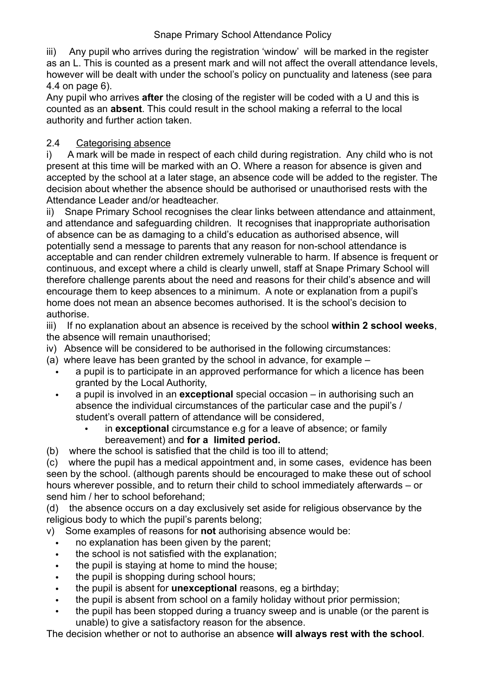iii) Any pupil who arrives during the registration 'window' will be marked in the register as an L. This is counted as a present mark and will not affect the overall attendance levels, however will be dealt with under the school's policy on punctuality and lateness (see para 4.4 on page 6).

Any pupil who arrives **after** the closing of the register will be coded with a U and this is counted as an **absent**. This could result in the school making a referral to the local authority and further action taken.

# 2.4 Categorising absence

i) A mark will be made in respect of each child during registration. Any child who is not present at this time will be marked with an O. Where a reason for absence is given and accepted by the school at a later stage, an absence code will be added to the register. The decision about whether the absence should be authorised or unauthorised rests with the Attendance Leader and/or headteacher.

ii) Snape Primary School recognises the clear links between attendance and attainment, and attendance and safeguarding children. It recognises that inappropriate authorisation of absence can be as damaging to a child's education as authorised absence, will potentially send a message to parents that any reason for non-school attendance is acceptable and can render children extremely vulnerable to harm. If absence is frequent or continuous, and except where a child is clearly unwell, staff at Snape Primary School will therefore challenge parents about the need and reasons for their child's absence and will encourage them to keep absences to a minimum. A note or explanation from a pupil's home does not mean an absence becomes authorised. It is the school's decision to authorise.

iii) If no explanation about an absence is received by the school **within 2 school weeks**, the absence will remain unauthorised;

- iv) Absence will be considered to be authorised in the following circumstances:
- (a) where leave has been granted by the school in advance, for example
	- a pupil is to participate in an approved performance for which a licence has been granted by the Local Authority,
	- a pupil is involved in an **exceptional** special occasion in authorising such an absence the individual circumstances of the particular case and the pupil's / student's overall pattern of attendance will be considered,
		- in **exceptional** circumstance e.g for a leave of absence; or family bereavement) and **for a limited period.**
- (b) where the school is satisfied that the child is too ill to attend;

(c) where the pupil has a medical appointment and, in some cases, evidence has been seen by the school. (although parents should be encouraged to make these out of school hours wherever possible, and to return their child to school immediately afterwards – or send him / her to school beforehand;

(d) the absence occurs on a day exclusively set aside for religious observance by the religious body to which the pupil's parents belong;

v) Some examples of reasons for **not** authorising absence would be:

- no explanation has been given by the parent;
- the school is not satisfied with the explanation;
- the pupil is staying at home to mind the house;
- the pupil is shopping during school hours;
- the pupil is absent for **unexceptional** reasons, eg a birthday;
- the pupil is absent from school on a family holiday without prior permission;
- the pupil has been stopped during a truancy sweep and is unable (or the parent is unable) to give a satisfactory reason for the absence.

The decision whether or not to authorise an absence **will always rest with the school**.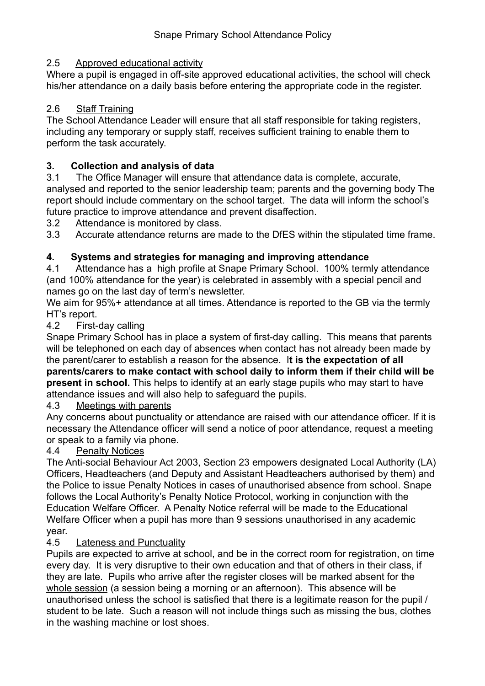## 2.5 Approved educational activity

Where a pupil is engaged in off-site approved educational activities, the school will check his/her attendance on a daily basis before entering the appropriate code in the register.

# 2.6 Staff Training

The School Attendance Leader will ensure that all staff responsible for taking registers, including any temporary or supply staff, receives sufficient training to enable them to perform the task accurately.

# **3. Collection and analysis of data**

3.1 The Office Manager will ensure that attendance data is complete, accurate, analysed and reported to the senior leadership team; parents and the governing body The report should include commentary on the school target. The data will inform the school's future practice to improve attendance and prevent disaffection.

3.2 Attendance is monitored by class.

3.3 Accurate attendance returns are made to the DfES within the stipulated time frame.

# **4. Systems and strategies for managing and improving attendance**

4.1 Attendance has a high profile at Snape Primary School. 100% termly attendance (and 100% attendance for the year) is celebrated in assembly with a special pencil and names go on the last day of term's newsletter.

We aim for 95%+ attendance at all times. Attendance is reported to the GB via the termly HT's report.

### 4.2 First-day calling

Snape Primary School has in place a system of first-day calling. This means that parents will be telephoned on each day of absences when contact has not already been made by the parent/carer to establish a reason for the absence. I**t is the expectation of all parents/carers to make contact with school daily to inform them if their child will be present in school.** This helps to identify at an early stage pupils who may start to have attendance issues and will also help to safeguard the pupils.

# 4.3 Meetings with parents

Any concerns about punctuality or attendance are raised with our attendance officer. If it is necessary the Attendance officer will send a notice of poor attendance, request a meeting or speak to a family via phone.

# 4.4 Penalty Notices

The Anti-social Behaviour Act 2003, Section 23 empowers designated Local Authority (LA) Officers, Headteachers (and Deputy and Assistant Headteachers authorised by them) and the Police to issue Penalty Notices in cases of unauthorised absence from school. Snape follows the Local Authority's Penalty Notice Protocol, working in conjunction with the Education Welfare Officer. A Penalty Notice referral will be made to the Educational Welfare Officer when a pupil has more than 9 sessions unauthorised in any academic year.

# 4.5 Lateness and Punctuality

Pupils are expected to arrive at school, and be in the correct room for registration, on time every day. It is very disruptive to their own education and that of others in their class, if they are late. Pupils who arrive after the register closes will be marked absent for the whole session (a session being a morning or an afternoon). This absence will be unauthorised unless the school is satisfied that there is a legitimate reason for the pupil / student to be late. Such a reason will not include things such as missing the bus, clothes in the washing machine or lost shoes.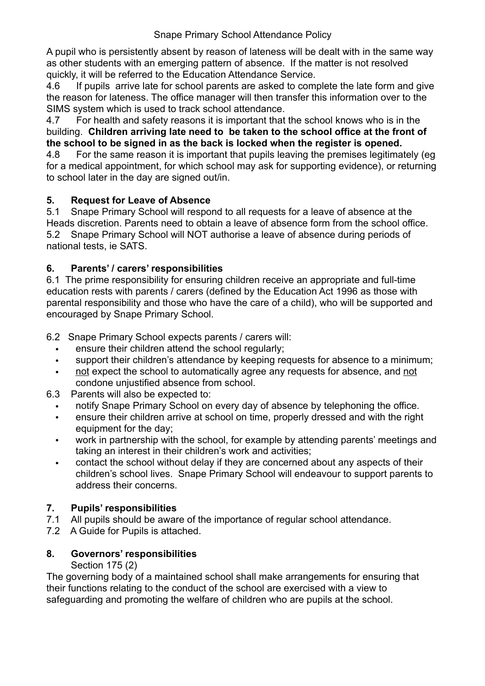A pupil who is persistently absent by reason of lateness will be dealt with in the same way as other students with an emerging pattern of absence. If the matter is not resolved quickly, it will be referred to the Education Attendance Service.

4.6 If pupils arrive late for school parents are asked to complete the late form and give the reason for lateness. The office manager will then transfer this information over to the SIMS system which is used to track school attendance.

4.7 For health and safety reasons it is important that the school knows who is in the building. **Children arriving late need to be taken to the school office at the front of the school to be signed in as the back is locked when the register is opened.**

4.8 For the same reason it is important that pupils leaving the premises legitimately (eg for a medical appointment, for which school may ask for supporting evidence), or returning to school later in the day are signed out/in.

# **5. Request for Leave of Absence**

5.1 Snape Primary School will respond to all requests for a leave of absence at the Heads discretion. Parents need to obtain a leave of absence form from the school office. 5.2 Snape Primary School will NOT authorise a leave of absence during periods of national tests, ie SATS.

# **6. Parents' / carers' responsibilities**

6.1 The prime responsibility for ensuring children receive an appropriate and full-time education rests with parents / carers (defined by the Education Act 1996 as those with parental responsibility and those who have the care of a child), who will be supported and encouraged by Snape Primary School.

6.2 Snape Primary School expects parents / carers will:

- ensure their children attend the school regularly;
- support their children's attendance by keeping requests for absence to a minimum;
- not expect the school to automatically agree any requests for absence, and not condone unjustified absence from school.
- 6.3 Parents will also be expected to:
	- notify Snape Primary School on every day of absence by telephoning the office.
	- ensure their children arrive at school on time, properly dressed and with the right equipment for the day;
	- work in partnership with the school, for example by attending parents' meetings and taking an interest in their children's work and activities;
	- contact the school without delay if they are concerned about any aspects of their children's school lives. Snape Primary School will endeavour to support parents to address their concerns.

# **7. Pupils' responsibilities**

- 7.1All pupils should be aware of the importance of regular school attendance.
- 7.2 A Guide for Pupils is attached.

# **8. Governors' responsibilities**

# Section 175 (2)

The governing body of a maintained school shall make arrangements for ensuring that their functions relating to the conduct of the school are exercised with a view to safeguarding and promoting the welfare of children who are pupils at the school.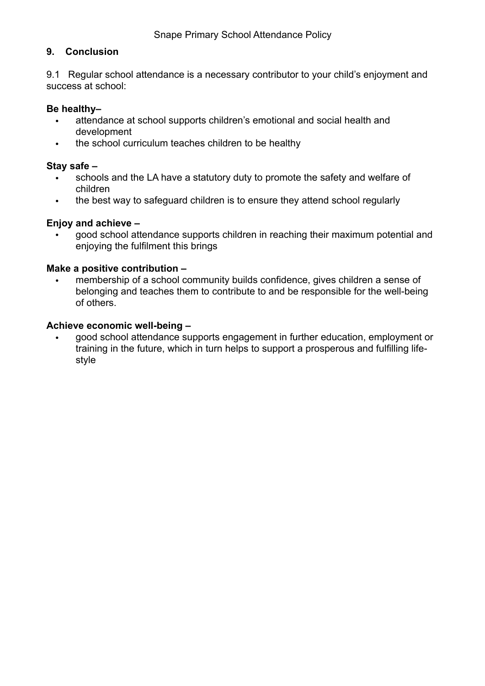#### **9. Conclusion**

9.1 Regular school attendance is a necessary contributor to your child's enjoyment and success at school:

#### **Be healthy–**

- attendance at school supports children's emotional and social health and development
- the school curriculum teaches children to be healthy

#### **Stay safe –**

- schools and the LA have a statutory duty to promote the safety and welfare of children
- the best way to safeguard children is to ensure they attend school regularly

#### **Enjoy and achieve –**

• good school attendance supports children in reaching their maximum potential and enjoying the fulfilment this brings

#### **Make a positive contribution –**

membership of a school community builds confidence, gives children a sense of belonging and teaches them to contribute to and be responsible for the well-being of others.

#### **Achieve economic well-being –**

• good school attendance supports engagement in further education, employment or training in the future, which in turn helps to support a prosperous and fulfilling lifestyle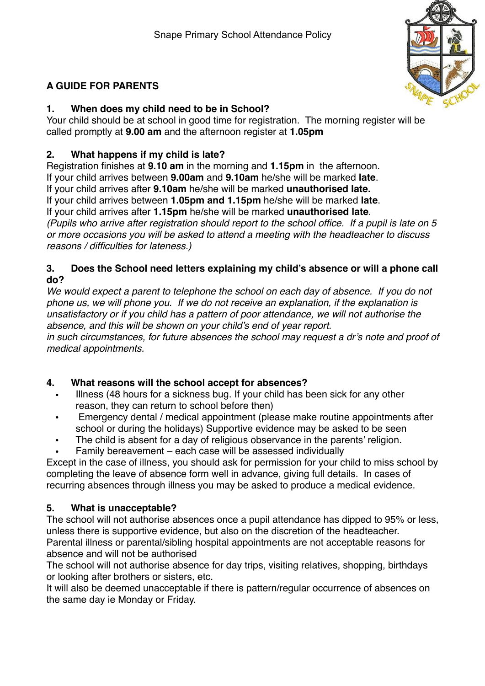

# **A GUIDE FOR PARENTS**

# **1. When does my child need to be in School?**

Your child should be at school in good time for registration. The morning register will be called promptly at **9.00 am** and the afternoon register at **1.05pm**

## **2. What happens if my child is late?**

Registration finishes at **9.10 am** in the morning and **1.15pm** in the afternoon. If your child arrives between **9.00am** and **9.10am** he/she will be marked **late**.

If your child arrives after **9.10am** he/she will be marked **unauthorised late.**

If your child arrives between **1.05pm and 1.15pm** he/she will be marked **late**.

If your child arrives after **1.15pm** he/she will be marked **unauthorised late**.

*(Pupils who arrive after registration should report to the school office. If a pupil is late on 5 or more occasions you will be asked to attend a meeting with the headteacher to discuss reasons / difficulties for lateness.)*

### **3. Does the School need letters explaining my child's absence or will a phone call do?**

*We would expect a parent to telephone the school on each day of absence. If you do not phone us, we will phone you. If we do not receive an explanation, if the explanation is unsatisfactory or if you child has a pattern of poor attendance, we will not authorise the absence, and this will be shown on your child's end of year report.*

*in such circumstances, for future absences the school may request a dr's note and proof of medical appointments.*

# **4. What reasons will the school accept for absences?**

- Illness (48 hours for a sickness bug. If your child has been sick for any other reason, they can return to school before then)
- Emergency dental / medical appointment (please make routine appointments after school or during the holidays) Supportive evidence may be asked to be seen
- The child is absent for a day of religious observance in the parents' religion.
- Family bereavement each case will be assessed individually

Except in the case of illness, you should ask for permission for your child to miss school by completing the leave of absence form well in advance, giving full details. In cases of recurring absences through illness you may be asked to produce a medical evidence.

# **5. What is unacceptable?**

The school will not authorise absences once a pupil attendance has dipped to 95% or less, unless there is supportive evidence, but also on the discretion of the headteacher. Parental illness or parental/sibling hospital appointments are not acceptable reasons for absence and will not be authorised

The school will not authorise absence for day trips, visiting relatives, shopping, birthdays or looking after brothers or sisters, etc.

It will also be deemed unacceptable if there is pattern/regular occurrence of absences on the same day ie Monday or Friday.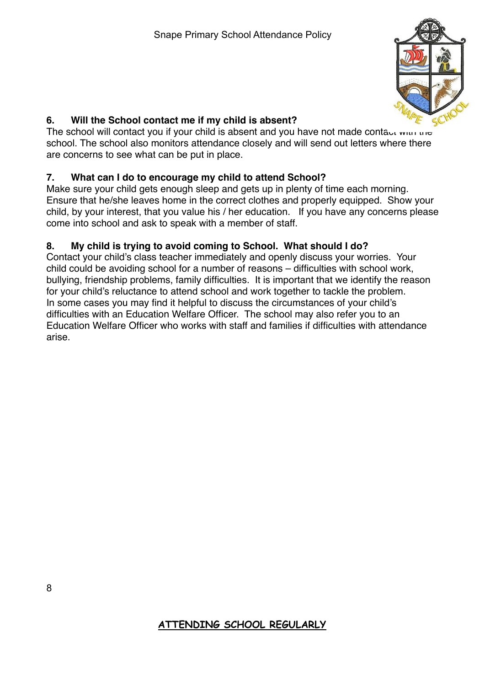

# **6. Will the School contact me if my child is absent?**

The school will contact you if your child is absent and you have not made contact with the school. The school also monitors attendance closely and will send out letters where there are concerns to see what can be put in place.

# **7. What can I do to encourage my child to attend School?**

Make sure your child gets enough sleep and gets up in plenty of time each morning. Ensure that he/she leaves home in the correct clothes and properly equipped. Show your child, by your interest, that you value his / her education. If you have any concerns please come into school and ask to speak with a member of staff.

# **8. My child is trying to avoid coming to School. What should I do?**

Contact your child's class teacher immediately and openly discuss your worries. Your child could be avoiding school for a number of reasons – difficulties with school work, bullying, friendship problems, family difficulties. It is important that we identify the reason for your child's reluctance to attend school and work together to tackle the problem. In some cases you may find it helpful to discuss the circumstances of your child's difficulties with an Education Welfare Officer. The school may also refer you to an Education Welfare Officer who works with staff and families if difficulties with attendance arise.